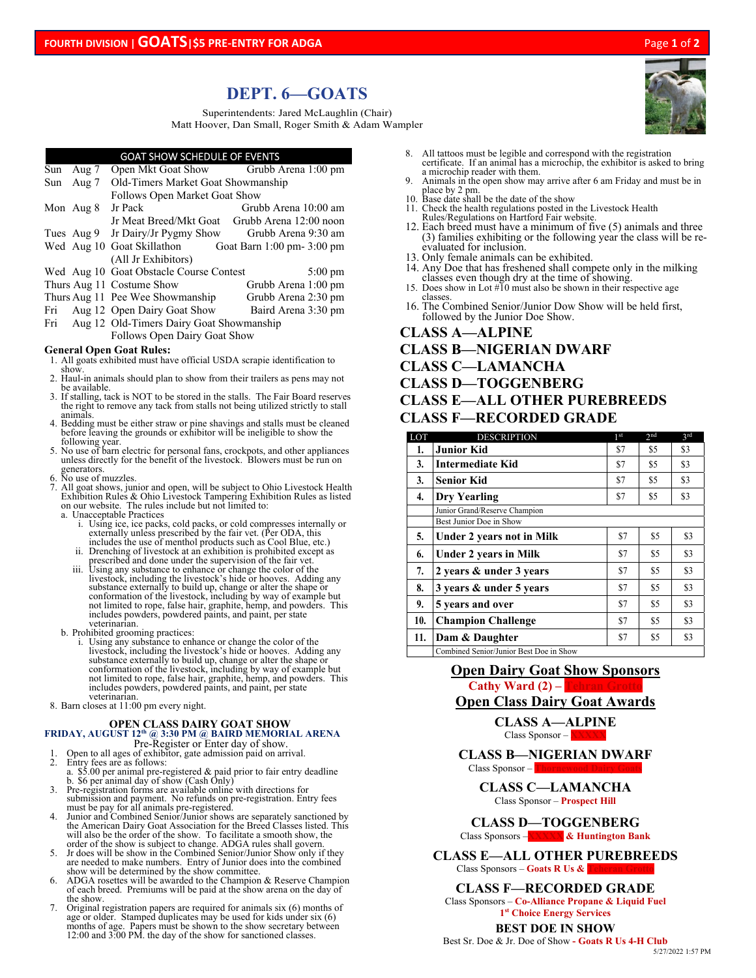# **DEPT. 6—GOATS**

Superintendents: Jared McLaughlin (Chair) Matt Hoover, Dan Small, Roger Smith & Adam Wampler

### GOAT SHOW SCHEDULE OF EVENTS

| Sun                                                                                                                  | Aug 7                                    |                                                       | Open Mkt Goat Show Grubb Arena 1:00 pm        |  |  |
|----------------------------------------------------------------------------------------------------------------------|------------------------------------------|-------------------------------------------------------|-----------------------------------------------|--|--|
| Sun                                                                                                                  | Aug 7                                    | Old-Timers Market Goat Showmanship                    |                                               |  |  |
|                                                                                                                      |                                          | Follows Open Market Goat Show                         |                                               |  |  |
|                                                                                                                      | Mon Aug 8                                | Jr Pack                                               | Grubb Arena 10:00 am                          |  |  |
|                                                                                                                      |                                          |                                                       | Jr Meat Breed/Mkt Goat Grubb Arena 12:00 noon |  |  |
|                                                                                                                      |                                          | Tues Aug 9 Jr Dairy/Jr Pygmy Show Grubb Arena 9:30 am |                                               |  |  |
|                                                                                                                      |                                          | Wed Aug 10 Goat Skillathon Goat Barn 1:00 pm-3:00 pm  |                                               |  |  |
|                                                                                                                      |                                          | (All Jr Exhibitors)                                   |                                               |  |  |
|                                                                                                                      |                                          | Wed Aug 10 Goat Obstacle Course Contest               | $5:00 \text{ pm}$                             |  |  |
|                                                                                                                      |                                          | Thurs Aug 11 Costume Show                             | Grubb Arena 1:00 pm                           |  |  |
|                                                                                                                      |                                          | Thurs Aug 11 Pee Wee Showmanship                      | Grubb Arena 2:30 pm                           |  |  |
| Fri                                                                                                                  |                                          | Aug 12 Open Dairy Goat Show Baird Arena 3:30 pm       |                                               |  |  |
| Fri                                                                                                                  | Aug 12 Old-Timers Dairy Goat Showmanship |                                                       |                                               |  |  |
| Follows Open Dairy Goat Show                                                                                         |                                          |                                                       |                                               |  |  |
| <b>General Open Goat Rules:</b><br>1. All goats exhibited must have official USDA scrapie identification to<br>show. |                                          |                                                       |                                               |  |  |

- show. 2. Haul-in animals should plan to show from their trailers as pens may not be available.
- 3. If stalling, tack is NOT to be stored in the stalls. The Fair Board reserves the right to remove any tack from stalls not being utilized strictly to stall animals.
- 4. Bedding must be either straw or pine shavings and stalls must be cleaned before leaving the grounds or exhibitor will be ineligible to show the
- following year.<br>
5. No use of barn electric for personal fans, crockpots, and other appliances<br>
unless directly for the benefit of the livestock. Blowers must be run on generators.
- 6. No use of muzzles.
- 7. All goat shows, junior and open, will be subject to Ohio Livestock Health Exhibition Rules & Ohio Livestock Tampering Exhibition Rules as listed on our website. The rules include but not limited to:
	- a. Unacceptable Practices
		- i. Using ice, ice packs, cold packs, or cold compresses internally or<br>externally unless prescribed by the fair vet. (Per ODA, this<br>includes the use of menthol products such as Cool Blue, etc.)<br>ii. Drenching of livestock a
		-
		- iii. Using any substance to enhance or change the color of the<br>livestock, including the livestock's hide or hooves. Adding any<br>substance externally to build up, change or alter the shape or<br>conformation of the livestock, i includes powders, powdered paints, and paint, per state
	-
	- b. Prohibited grooming practices:<br>
	i. Using any substance to enhance or change the color of the<br>
	livestock, including the livestock's hide or hooves. Adding any<br>
	substance externally to build up, change or alter the shape
- veterinarian.<br>8. Barn closes at 11:00 pm every night.

# **OPEN CLASS DAIRY GOAT SHOW**<br> **FRIDAY, AUGUST 12<sup>th</sup> @ 3:30 PM @ BAIRD MEMORIAL ARENA**<br>
Pre-Register or Enter day of show.<br>
1. Open to all ages of exhibitor, gate admission paid on arrival.

- 
- 
- 2. Entry fees are as follows:<br>
a. \$5.00 per animal pre-registered & paid prior to fair entry deadline<br>
b. \$6 per animal day of show (Cash Only)<br>
3. Pre-registration forms are available online with directions for<br>
submissi
- 4. Junior and Combined Senior/Junior shows are separately sanctioned by<br>the American Dairy Goat Association for the Breed Classes listed. This<br>will also be the order of the show. To facilitate a smooth show, the<br>order of t
- Jr does will be show in the Combined Senior/Junior Show only if they are needed to make numbers. Entry of Junior does into the combined<br>show will be determined by the show committee.<br>6. ADGA rosettes will be awarded to the Champion & Reserve Champion
- of each breed. Premiums will be paid at the show arena on the day of the show.
- 7. Original registration papers are required for animals six (6) months of age or older. Stamped duplicates may be used for kids under six (6) months of age. Papers must be shown to the show secretary between 12:00 and 3:00 PM. the day of the show for sanctioned classes.
- 8. All tattoos must be legible and correspond with the registration certificate. If an animal has a microchip, the exhibitor is asked to bring
- a microchip reader with them. 9. Animals in the open show may arrive after 6 am Friday and must be in
- place by 2 pm. 10. Base date shall be the date of the show
- 11. Check the health regulations posted in the Livestock Health Rules/Regulations on Hartford Fair website.
- 12. Each breed must have a minimum of five (5) animals and three (3) families exhibiting or the following year the class will be reevaluated for inclusion.
- 13. Only female animals can be exhibited.
- 14. Any Doe that has freshened shall compete only in the milking
- classes even though dry at the time of showing. 15. Does show in Lot #10 must also be shown in their respective age classes.
- 16. The Combined Senior/Junior Dow Show will be held first, followed by the Junior Doe Show.

## **CLASS A—ALPINE**

## **CLASS B—NIGERIAN DWARF**

- **CLASS C—LAMANCHA**
- **CLASS D—TOGGENBERG**

## **CLASS E—ALL OTHER PUREBREEDS CLASS F—RECORDED GRADE**

| LOT | <b>DESCRIPTION</b>                      | 1 <sup>st</sup> | 2nd | <b>2rd</b> |
|-----|-----------------------------------------|-----------------|-----|------------|
| 1.  | <b>Junior Kid</b>                       | \$7             | \$5 | \$3        |
| 3.  | <b>Intermediate Kid</b>                 | \$7             | \$5 | \$3        |
| 3.  | <b>Senior Kid</b>                       | \$7             | \$5 | \$3        |
| 4.  | Dry Yearling                            | \$7             | \$5 | \$3        |
|     | Junior Grand/Reserve Champion           |                 |     |            |
|     | Best Junior Doe in Show                 |                 |     |            |
| 5.  | <b>Under 2 years not in Milk</b>        | \$7             | \$5 | \$3        |
| 6.  | <b>Under 2 years in Milk</b>            | \$7             | \$5 | \$3        |
| 7.  | 2 years & under 3 years                 | \$7             | \$5 | \$3        |
| 8.  | 3 years & under 5 years                 | \$7             | \$5 | \$3        |
| 9.  | 5 years and over                        | \$7             | \$5 | \$3        |
| 10. | <b>Champion Challenge</b>               | \$7             | \$5 | \$3        |
| 11. | Dam & Daughter                          | \$7             | \$5 | \$3        |
|     | Combined Senior/Junior Best Doe in Show |                 |     |            |

## **Open Dairy Goat Show Sponsors Cathy Ward (2) –**

## **Open Class Dairy Goat Awards**

**CLASS A—ALPINE**  Class Sponsor – **X** 

#### **CLASS B—NIGERIAN DWARF**  Class Sponsor –

**CLASS C—LAMANCHA**  Class Sponsor – **Prospect Hill** 

## **CLASS D—TOGGENBERG**

Class Sponsors –**XXXXX & Huntington Bank** 

**CLASS E—ALL OTHER PUREBREEDS**  Class Sponsors – **Goats R Us & T** 

#### **CLASS F—RECORDED GRADE**

Class Sponsors – **Co-Alliance Propane & Liquid Fuel 1st Choice Energy Services** 

#### **BEST DOE IN SHOW**

Best Sr. Doe & Jr. Doe of Show **- Goats R Us 4-H Club**